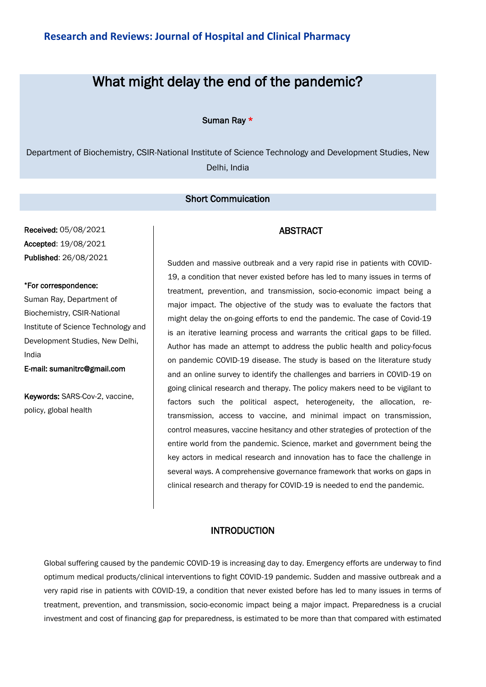# What might delay the end of the pandemic?

Suman Ray \*

Department of Biochemistry, CSIR-National Institute of Science Technology and Development Studies, New Delhi, India

#### Short Commuication

Received: 05/08/2021 Accepted: 19/08/2021 Published: 26/08/2021

#### \*For correspondence:

Suman Ray, Department of Biochemistry, CSIR-National Institute of Science Technology and Development Studies, New Delhi, India

E-mail: sumanitrc@gmail.com

Keywords: SARS-Cov-2, vaccine, policy, global health

Sudden and massive outbreak and a very rapid rise in patients with COVID-19, a condition that never existed before has led to many issues in terms of treatment, prevention, and transmission, socio-economic impact being a major impact. The objective of the study was to evaluate the factors that might delay the on-going efforts to end the pandemic. The case of Covid-19 is an iterative learning process and warrants the critical gaps to be filled. Author has made an attempt to address the public health and policy-focus on pandemic COVID-19 disease. The study is based on the literature study and an online survey to identify the challenges and barriers in COVID-19 on going clinical research and therapy. The policy makers need to be vigilant to factors such the political aspect, heterogeneity, the allocation, retransmission, access to vaccine, and minimal impact on transmission, control measures, vaccine hesitancy and other strategies of protection of the entire world from the pandemic. Science, market and government being the key actors in medical research and innovation has to face the challenge in several ways. A comprehensive governance framework that works on gaps in clinical research and therapy for COVID-19 is needed to end the pandemic.

ABSTRACT

#### INTRODUCTION

Global suffering caused by the pandemic COVID-19 is increasing day to day. Emergency efforts are underway to find optimum medical products/clinical interventions to fight COVID-19 pandemic. Sudden and massive outbreak and a very rapid rise in patients with COVID-19, a condition that never existed before has led to many issues in terms of treatment, prevention, and transmission, socio-economic impact being a major impact. Preparedness is a crucial investment and cost of financing gap for preparedness, is estimated to be more than that compared with estimated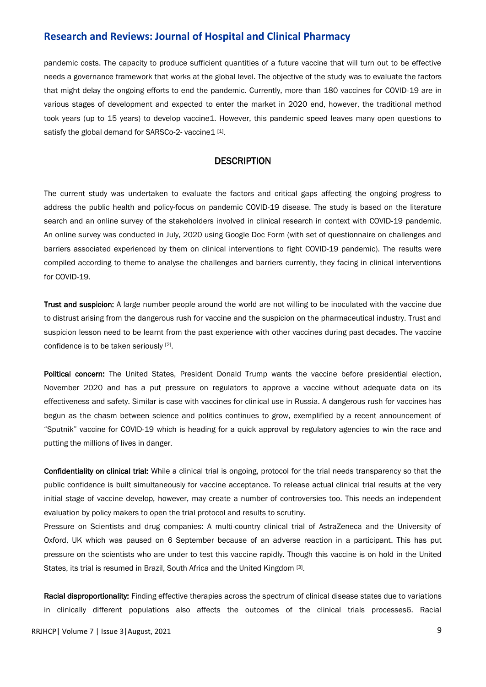#### **Research and Reviews: Journal of Hospital and Clinical Pharmacy**

pandemic costs. The capacity to produce sufficient quantities of a future vaccine that will turn out to be effective needs a governance framework that works at the global level. The objective of the study was to evaluate the factors that might delay the ongoing efforts to end the pandemic. Currently, more than 180 vaccines for COVID-19 are in various stages of development and expected to enter the market in 2020 end, however, the traditional method took years (up to 15 years) to develop vaccine1. However, this pandemic speed leaves many open questions to satisfy the global demand for SARSCo-2- vaccine1 [1].

#### **DESCRIPTION**

The current study was undertaken to evaluate the factors and critical gaps affecting the ongoing progress to address the public health and policy-focus on pandemic COVID-19 disease. The study is based on the literature search and an online survey of the stakeholders involved in clinical research in context with COVID-19 pandemic. An online survey was conducted in July, 2020 using Google Doc Form (with set of questionnaire on challenges and barriers associated experienced by them on clinical interventions to fight COVID-19 pandemic). The results were compiled according to theme to analyse the challenges and barriers currently, they facing in clinical interventions for COVID-19.

Trust and suspicion: A large number people around the world are not willing to be inoculated with the vaccine due to distrust arising from the dangerous rush for vaccine and the suspicion on the pharmaceutical industry. Trust and suspicion lesson need to be learnt from the past experience with other vaccines during past decades. The vaccine confidence is to be taken seriously [2].

Political concern: The United States, President Donald Trump wants the vaccine before presidential election, November 2020 and has a put pressure on regulators to approve a vaccine without adequate data on its effectiveness and safety. Similar is case with vaccines for clinical use in Russia. A dangerous rush for vaccines has begun as the chasm between science and politics continues to grow, exemplified by a recent announcement of "Sputnik" vaccine for COVID-19 which is heading for a quick approval by regulatory agencies to win the race and putting the millions of lives in danger.

Confidentiality on clinical trial: While a clinical trial is ongoing, protocol for the trial needs transparency so that the public confidence is built simultaneously for vaccine acceptance. To release actual clinical trial results at the very initial stage of vaccine develop, however, may create a number of controversies too. This needs an independent evaluation by policy makers to open the trial protocol and results to scrutiny.

Pressure on Scientists and drug companies: A multi-country clinical trial of AstraZeneca and the University of Oxford, UK which was paused on 6 September because of an adverse reaction in a participant. This has put pressure on the scientists who are under to test this vaccine rapidly. Though this vaccine is on hold in the United States, its trial is resumed in Brazil, South Africa and the United Kingdom [3].

Racial disproportionality: Finding effective therapies across the spectrum of clinical disease states due to variations in clinically different populations also affects the outcomes of the clinical trials processes6. Racial